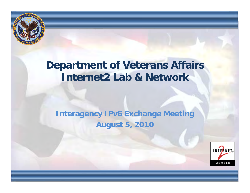

## **Department of Veterans Affairs Internet2 Lab & Network**

#### **Interagency IPv6 Exchange Meeting August 5, 2010**

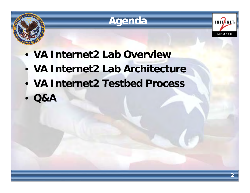





- **VA Internet2 Lab Overview**
- **VA Internet2 Lab Architecture**
- **VA Internet2 Testbed Process Process**
- $\bullet$ **Q&A**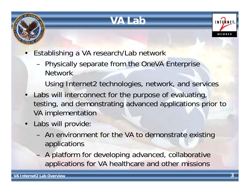

# **VA Lab**



- • Establishing a VA research/Lab network
	- Physically separate from the OneVA Enterprise Network
		- Using Internet2 technologies, network, and services
- • Labs will interconnect for the purpose of evaluating, testing, and demonstrating advanced applications prior to VA implementation
- Labs will provide:
	- An environment for the VA to demonstrate existing applications
	- A platform for developing advanced, collaborative applications for VA healthcare and other missions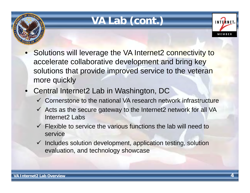

# **VA Lab (cont.)**



- • Solutions will leverage the VA Internet2 connectivity to accelerate collaborative development and bring key solutions that provide improved service to the veteran more quickly
- • Central Internet2 Lab in Washington, DC
	- $\checkmark$  Cornerstone to the national VA research network infrastructure
	- $\checkmark$  Acts as the secure gateway to the Internet2 network for all VA Internet2 Labs
	- $\checkmark$  Flexible to service the various functions the lab will need to service
	- $\checkmark$  Includes solution development, application testing, solution evaluation, and technology showcase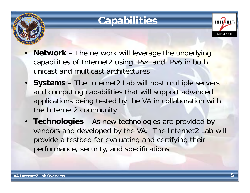

# **Capabilities**

- • **Network** – The network will leverage the underlying capabilities of Internet2 using IPv4 and IPv6 in both unicast and multicast architectures
- • **Systems** – The Internet2 Lab will host multiple servers and computing capabilities that will support advanced applications being tested by the VA in collaboration with the Internet2 community
- **Technologies**  As new technologies are provided by vendors and developed by the VA. The Internet2 Lab will provide a testbed for evaluating and certifying their performance, security, and specifications

**INTERNE**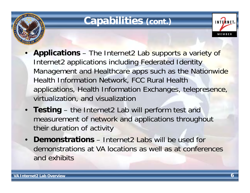

#### **Capabilities (cont.)**

- • **Applications** – The Internet2 Lab supports a variety of Internet2 applications including Federated Identity Management and Healthcare apps such as the Nationwide Health Information Network, FCC Rural Health applications, Health Information Exchanges, telepresence, virtualization, and visualization
- **Testing** the Internet2 Lab will perform test and measurement of network and applications throughout their duration of activity
- **Demonstrations**  Internet2 Labs will be used for demonstrations at VA locations as well as at conferences and exhibits

**INTERNET** 

MEMBER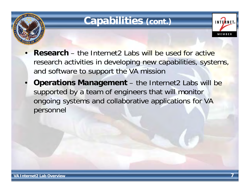

### **Capabilities (cont.)**

- • **Research** – the Internet2 Labs will be used for active research activities in developing new capabilities, systems, and software to support the VA mission
- •**Operations Management** – the Internet2 Labs will be supported by a team of engineers that will monitor ongoing systems and collaborative applications for VA personnel

**INTERNET**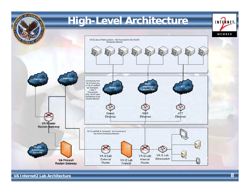

**VA Internet2 Lab Architecture**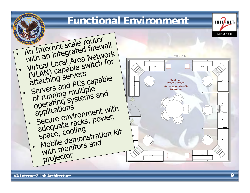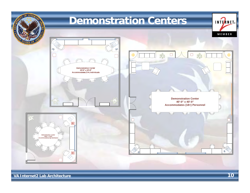

**VA Internet2 Lab Architecture**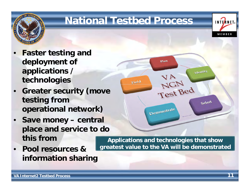

## **National Testbed Process**



- • **Greater security (move testing from operational network)**
- •**Save money – central place and service to do this from**
- • **Pool resources & information sharing**



**Applications and technologies that show greatest value to the VA will be demonstrated**

INTERNET<sub>®</sub>

MEMBER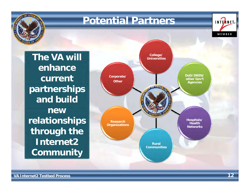

**VA Internet2 Testbed Process**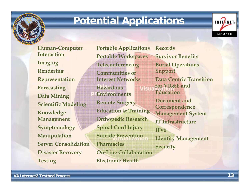

#### **Potential Applications**

**Human-Computer InteractionIma gin g Rendering Representation Data Mining Scientific Modeling Knowledge Management Symptomology Manipulation Server ConsolidationPharmaciesDisaster Recovery Testing Electronic Health** 

**Portable Applications Portable Workspaces Teleconferencing Communities of Interest NetworksForecasting Hazardous Visualization EnvironmentsRemote Surgery Education & Trainin g Orthopedic Research Spinal Cord Injury Suicide Prevention On-Line Collaboration**

**RecordsSurvivor BenefitsBurial Operations Support Data Centric Transition** for VR&F and **EducationDocument and Correspondence Management System IT InfrastructureIPv6Identity Management Security**

**VA Internet2 Testbed Process**

INTERNET.

MEMBER